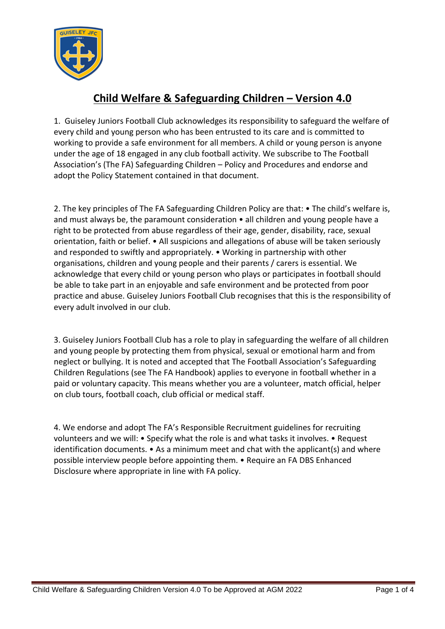

## **Child Welfare & Safeguarding Children – Version 4.0**

1. Guiseley Juniors Football Club acknowledges its responsibility to safeguard the welfare of every child and young person who has been entrusted to its care and is committed to working to provide a safe environment for all members. A child or young person is anyone under the age of 18 engaged in any club football activity. We subscribe to The Football Association's (The FA) Safeguarding Children – Policy and Procedures and endorse and adopt the Policy Statement contained in that document.

2. The key principles of The FA Safeguarding Children Policy are that: • The child's welfare is, and must always be, the paramount consideration • all children and young people have a right to be protected from abuse regardless of their age, gender, disability, race, sexual orientation, faith or belief. • All suspicions and allegations of abuse will be taken seriously and responded to swiftly and appropriately. • Working in partnership with other organisations, children and young people and their parents / carers is essential. We acknowledge that every child or young person who plays or participates in football should be able to take part in an enjoyable and safe environment and be protected from poor practice and abuse. Guiseley Juniors Football Club recognises that this is the responsibility of every adult involved in our club.

3. Guiseley Juniors Football Club has a role to play in safeguarding the welfare of all children and young people by protecting them from physical, sexual or emotional harm and from neglect or bullying. It is noted and accepted that The Football Association's Safeguarding Children Regulations (see The FA Handbook) applies to everyone in football whether in a paid or voluntary capacity. This means whether you are a volunteer, match official, helper on club tours, football coach, club official or medical staff.

4. We endorse and adopt The FA's Responsible Recruitment guidelines for recruiting volunteers and we will: • Specify what the role is and what tasks it involves. • Request identification documents. • As a minimum meet and chat with the applicant(s) and where possible interview people before appointing them. • Require an FA DBS Enhanced Disclosure where appropriate in line with FA policy.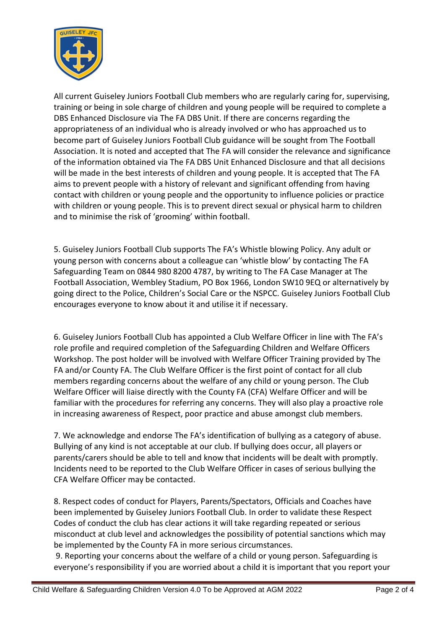

All current Guiseley Juniors Football Club members who are regularly caring for, supervising, training or being in sole charge of children and young people will be required to complete a DBS Enhanced Disclosure via The FA DBS Unit. If there are concerns regarding the appropriateness of an individual who is already involved or who has approached us to become part of Guiseley Juniors Football Club guidance will be sought from The Football Association. It is noted and accepted that The FA will consider the relevance and significance of the information obtained via The FA DBS Unit Enhanced Disclosure and that all decisions will be made in the best interests of children and young people. It is accepted that The FA aims to prevent people with a history of relevant and significant offending from having contact with children or young people and the opportunity to influence policies or practice with children or young people. This is to prevent direct sexual or physical harm to children and to minimise the risk of 'grooming' within football.

5. Guiseley Juniors Football Club supports The FA's Whistle blowing Policy. Any adult or young person with concerns about a colleague can 'whistle blow' by contacting The FA Safeguarding Team on 0844 980 8200 4787, by writing to The FA Case Manager at The Football Association, Wembley Stadium, PO Box 1966, London SW10 9EQ or alternatively by going direct to the Police, Children's Social Care or the NSPCC. Guiseley Juniors Football Club encourages everyone to know about it and utilise it if necessary.

6. Guiseley Juniors Football Club has appointed a Club Welfare Officer in line with The FA's role profile and required completion of the Safeguarding Children and Welfare Officers Workshop. The post holder will be involved with Welfare Officer Training provided by The FA and/or County FA. The Club Welfare Officer is the first point of contact for all club members regarding concerns about the welfare of any child or young person. The Club Welfare Officer will liaise directly with the County FA (CFA) Welfare Officer and will be familiar with the procedures for referring any concerns. They will also play a proactive role in increasing awareness of Respect, poor practice and abuse amongst club members.

7. We acknowledge and endorse The FA's identification of bullying as a category of abuse. Bullying of any kind is not acceptable at our club. If bullying does occur, all players or parents/carers should be able to tell and know that incidents will be dealt with promptly. Incidents need to be reported to the Club Welfare Officer in cases of serious bullying the CFA Welfare Officer may be contacted.

8. Respect codes of conduct for Players, Parents/Spectators, Officials and Coaches have been implemented by Guiseley Juniors Football Club. In order to validate these Respect Codes of conduct the club has clear actions it will take regarding repeated or serious misconduct at club level and acknowledges the possibility of potential sanctions which may be implemented by the County FA in more serious circumstances.

9. Reporting your concerns about the welfare of a child or young person. Safeguarding is everyone's responsibility if you are worried about a child it is important that you report your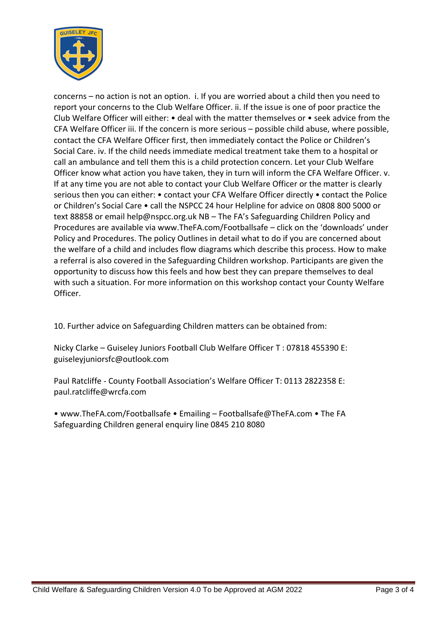

concerns – no action is not an option. i. If you are worried about a child then you need to report your concerns to the Club Welfare Officer. ii. If the issue is one of poor practice the Club Welfare Officer will either: • deal with the matter themselves or • seek advice from the CFA Welfare Officer iii. If the concern is more serious – possible child abuse, where possible, contact the CFA Welfare Officer first, then immediately contact the Police or Children's Social Care. iv. If the child needs immediate medical treatment take them to a hospital or call an ambulance and tell them this is a child protection concern. Let your Club Welfare Officer know what action you have taken, they in turn will inform the CFA Welfare Officer. v. If at any time you are not able to contact your Club Welfare Officer or the matter is clearly serious then you can either: • contact your CFA Welfare Officer directly • contact the Police or Children's Social Care • call the NSPCC 24 hour Helpline for advice on 0808 800 5000 or text 88858 or email help@nspcc.org.uk NB – The FA's Safeguarding Children Policy and Procedures are available via www.TheFA.com/Footballsafe – click on the 'downloads' under Policy and Procedures. The policy Outlines in detail what to do if you are concerned about the welfare of a child and includes flow diagrams which describe this process. How to make a referral is also covered in the Safeguarding Children workshop. Participants are given the opportunity to discuss how this feels and how best they can prepare themselves to deal with such a situation. For more information on this workshop contact your County Welfare Officer.

10. Further advice on Safeguarding Children matters can be obtained from:

Nicky Clarke – Guiseley Juniors Football Club Welfare Officer T : 07818 455390 E: guiseleyjuniorsfc@outlook.com

Paul Ratcliffe - County Football Association's Welfare Officer T: 0113 2822358 E: paul.ratcliffe@wrcfa.com

• www.TheFA.com/Footballsafe • Emailing – Footballsafe@TheFA.com • The FA Safeguarding Children general enquiry line 0845 210 8080